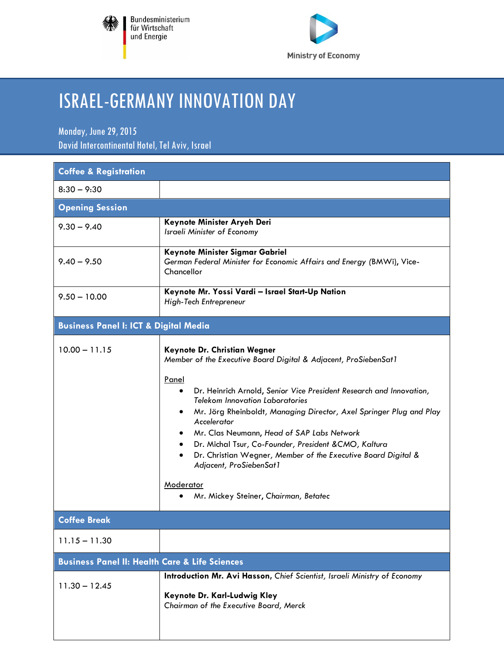



## ISRAEL-GERMANYINNOVATION DAY

Monday, June 29, 2015 David Intercontinental Hotel, Tel Aviv, Israel

| <b>Coffee &amp; Registration</b>                          |                                                                                                                                                                                                                                                                                                                                                                                                                                                                                                                                                                                                    |  |
|-----------------------------------------------------------|----------------------------------------------------------------------------------------------------------------------------------------------------------------------------------------------------------------------------------------------------------------------------------------------------------------------------------------------------------------------------------------------------------------------------------------------------------------------------------------------------------------------------------------------------------------------------------------------------|--|
| $8:30 - 9:30$                                             |                                                                                                                                                                                                                                                                                                                                                                                                                                                                                                                                                                                                    |  |
| <b>Opening Session</b>                                    |                                                                                                                                                                                                                                                                                                                                                                                                                                                                                                                                                                                                    |  |
| $9.30 - 9.40$                                             | Keynote Minister Aryeh Deri<br>Israeli Minister of Economy                                                                                                                                                                                                                                                                                                                                                                                                                                                                                                                                         |  |
| $9.40 - 9.50$                                             | Keynote Minister Sigmar Gabriel<br>German Federal Minister for Economic Affairs and Energy (BMWi), Vice-<br>Chancellor                                                                                                                                                                                                                                                                                                                                                                                                                                                                             |  |
| $9.50 - 10.00$                                            | Keynote Mr. Yossi Vardi - Israel Start-Up Nation<br>High-Tech Entrepreneur                                                                                                                                                                                                                                                                                                                                                                                                                                                                                                                         |  |
| <b>Business Panel I: ICT &amp; Digital Media</b>          |                                                                                                                                                                                                                                                                                                                                                                                                                                                                                                                                                                                                    |  |
| $10.00 - 11.15$                                           | Keynote Dr. Christian Wegner<br>Member of the Executive Board Digital & Adjacent, ProSiebenSat1<br>Panel<br>Dr. Heinrich Arnold, Senior Vice President Research and Innovation,<br>$\bullet$<br><b>Telekom Innovation Laboratories</b><br>Mr. Jörg Rheinboldt, Managing Director, Axel Springer Plug and Play<br>Accelerator<br>Mr. Clas Neumann, Head of SAP Labs Network<br>Dr. Michal Tsur, Co-Founder, President & CMO, Kaltura<br>Dr. Christian Wegner, Member of the Executive Board Digital &<br>$\bullet$<br>Adjacent, ProSiebenSat1<br>Moderator<br>Mr. Mickey Steiner, Chairman, Betatec |  |
| <b>Coffee Break</b>                                       |                                                                                                                                                                                                                                                                                                                                                                                                                                                                                                                                                                                                    |  |
| $11.15 - 11.30$                                           |                                                                                                                                                                                                                                                                                                                                                                                                                                                                                                                                                                                                    |  |
| <b>Business Panel II: Health Care &amp; Life Sciences</b> |                                                                                                                                                                                                                                                                                                                                                                                                                                                                                                                                                                                                    |  |
| $11.30 - 12.45$                                           | Introduction Mr. Avi Hasson, Chief Scientist, Israeli Ministry of Economy<br>Keynote Dr. Karl-Ludwig Kley<br>Chairman of the Executive Board, Merck                                                                                                                                                                                                                                                                                                                                                                                                                                                |  |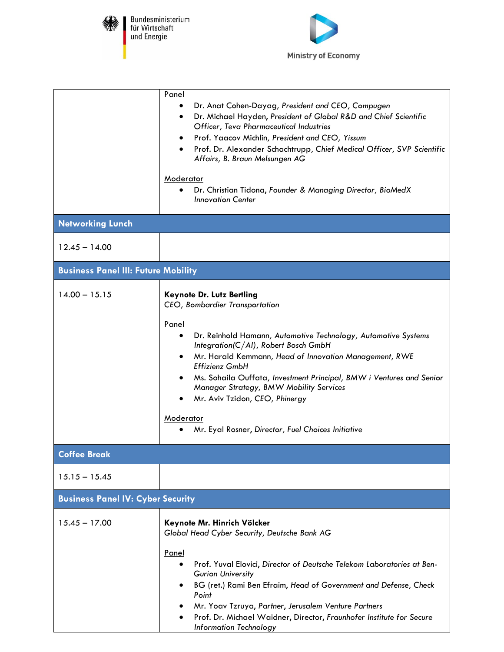

 $\mathsf{L}$ 

Bundesministerium<br>für Wirtschaft<br>und Energie



|                                            | Panel<br>Dr. Anat Cohen-Dayag, President and CEO, Compugen<br>$\bullet$<br>Dr. Michael Hayden, President of Global R&D and Chief Scientific<br>٠<br>Officer, Teva Pharmaceutical Industries<br>Prof. Yaacov Michlin, President and CEO, Yissum<br>$\bullet$<br>Prof. Dr. Alexander Schachtrupp, Chief Medical Officer, SVP Scientific<br>Affairs, B. Braun Melsungen AG<br>Moderator<br>Dr. Christian Tidona, Founder & Managing Director, BioMedX<br><b>Innovation Center</b>                         |
|--------------------------------------------|--------------------------------------------------------------------------------------------------------------------------------------------------------------------------------------------------------------------------------------------------------------------------------------------------------------------------------------------------------------------------------------------------------------------------------------------------------------------------------------------------------|
| <b>Networking Lunch</b>                    |                                                                                                                                                                                                                                                                                                                                                                                                                                                                                                        |
| $12.45 - 14.00$                            |                                                                                                                                                                                                                                                                                                                                                                                                                                                                                                        |
| <b>Business Panel III: Future Mobility</b> |                                                                                                                                                                                                                                                                                                                                                                                                                                                                                                        |
| $14.00 - 15.15$                            | Keynote Dr. Lutz Bertling<br>CEO, Bombardier Transportation<br>Panel<br>Dr. Reinhold Hamann, Automotive Technology, Automotive Systems<br>$\bullet$<br>Integration(C/AI), Robert Bosch GmbH<br>Mr. Harald Kemmann, Head of Innovation Management, RWE<br><b>Effizienz GmbH</b><br>Ms. Sohaila Ouffata, Investment Principal, BMW i Ventures and Senior<br>Manager Strategy, BMW Mobility Services<br>Mr. Aviv Tzidon, CEO, Phinergy<br>Moderator<br>Mr. Eyal Rosner, Director, Fuel Choices Initiative |
| <b>Coffee Break</b>                        |                                                                                                                                                                                                                                                                                                                                                                                                                                                                                                        |
| $15.15 - 15.45$                            |                                                                                                                                                                                                                                                                                                                                                                                                                                                                                                        |
| <b>Business Panel IV: Cyber Security</b>   |                                                                                                                                                                                                                                                                                                                                                                                                                                                                                                        |
| $15.45 - 17.00$                            | Keynote Mr. Hinrich Völcker<br>Global Head Cyber Security, Deutsche Bank AG<br>Panel<br>Prof. Yuval Elovici, Director of Deutsche Telekom Laboratories at Ben-<br><b>Gurion University</b><br>BG (ret.) Rami Ben Efraim, Head of Government and Defense, Check<br>Point<br>Mr. Yoav Tzruya, Partner, Jerusalem Venture Partners<br>Prof. Dr. Michael Waidner, Director, Fraunhofer Institute for Secure<br><b>Information Technology</b>                                                               |